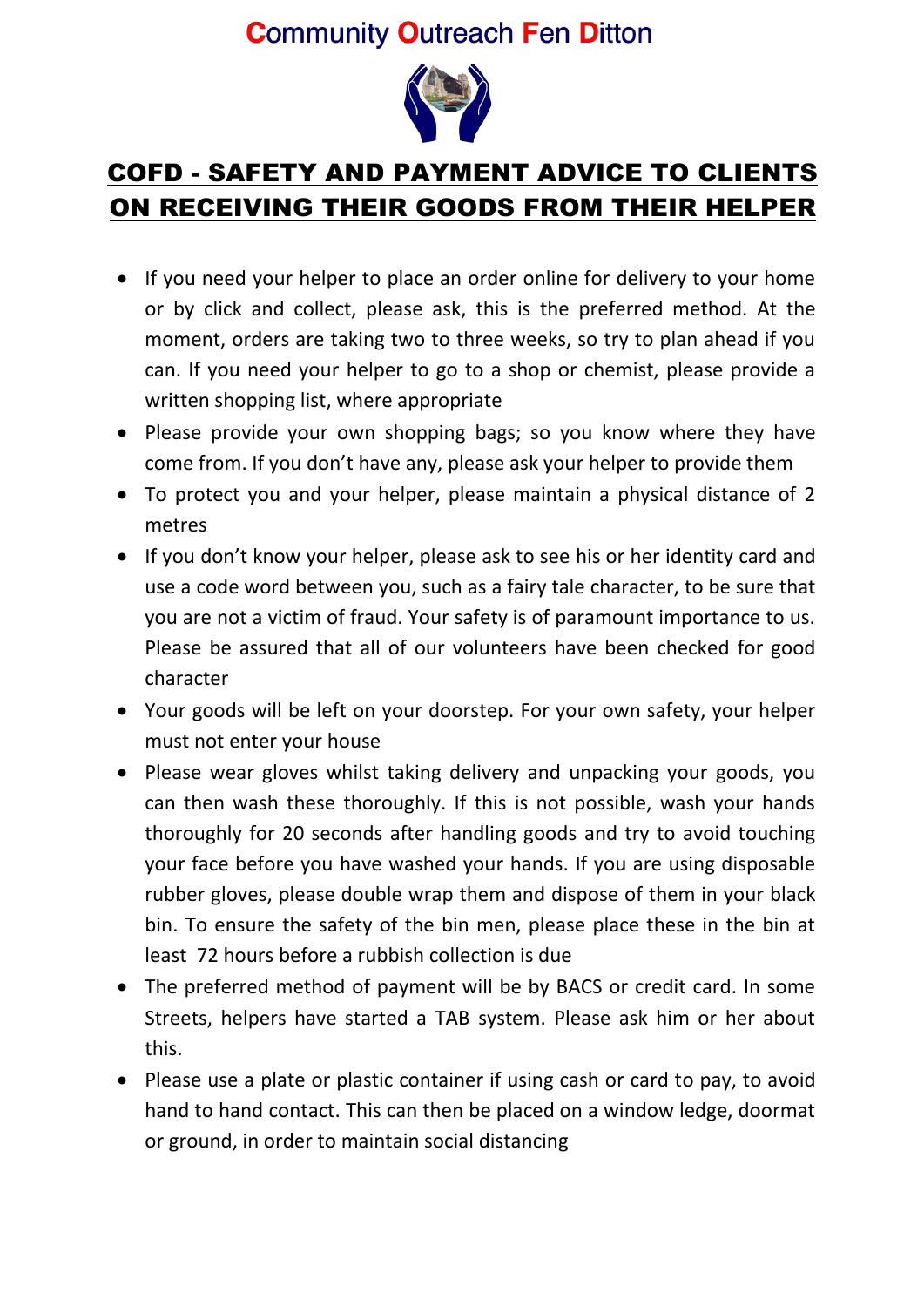## **Community Outreach Fen Ditton**



## COFD - SAFETY AND PAYMENT ADVICE TO CLIENTS ON RECEIVING THEIR GOODS FROM THEIR HELPER

- If you need your helper to place an order online for delivery to your home or by click and collect, please ask, this is the preferred method. At the moment, orders are taking two to three weeks, so try to plan ahead if you can. If you need your helper to go to a shop or chemist, please provide a written shopping list, where appropriate
- Please provide your own shopping bags; so you know where they have come from. If you don't have any, please ask your helper to provide them
- To protect you and your helper, please maintain a physical distance of 2 metres
- If you don't know your helper, please ask to see his or her identity card and use a code word between you, such as a fairy tale character, to be sure that you are not a victim of fraud. Your safety is of paramount importance to us. Please be assured that all of our volunteers have been checked for good character
- Your goods will be left on your doorstep. For your own safety, your helper must not enter your house
- Please wear gloves whilst taking delivery and unpacking your goods, you can then wash these thoroughly. If this is not possible, wash your hands thoroughly for 20 seconds after handling goods and try to avoid touching your face before you have washed your hands. If you are using disposable rubber gloves, please double wrap them and dispose of them in your black bin. To ensure the safety of the bin men, please place these in the bin at least 72 hours before a rubbish collection is due
- The preferred method of payment will be by BACS or credit card. In some Streets, helpers have started a TAB system. Please ask him or her about this.
- Please use a plate or plastic container if using cash or card to pay, to avoid hand to hand contact. This can then be placed on a window ledge, doormat or ground, in order to maintain social distancing